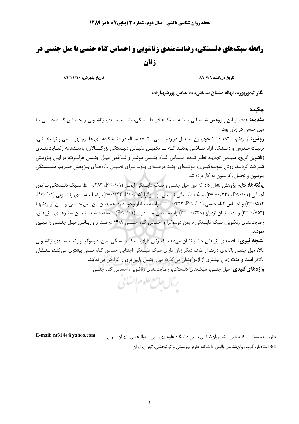## **رابطه سبکهای دلبستگی، رضایتمندی زناشویی و احساس گناه جنسی با میل جنسی در** زنان

تاریخ پذیرش: ۸۹/۱۱/۱۰

تاريخ دريافت: ٨٩/٦/٩

نگار تيموريور»، نهاله مشتاق بيدختي\*\*، عباس يورشهباز\*\*

حكىدە

**مقدمه:** هدف از این پـژوهش شناسـایی رابطـه سـبکـهـای دلبـستگی، رضـایتمنـدی زناشـویی و احـساس گنـاه جنـسی بـا میل جنسی در زنان بود.

**روش:** آزمودنیهــا ۱۹۲ دانــشجوی زن متأهــل در رده ســنی ۴۰–۱۸ ســاله در دانــشگاههــای علــوم بهزیــستی و توانبخــشی، تربیـت مـدرس و دانـشگاه آزاد اســلامی بودنـد کــه بــا تکمیــل مقیــاس دلبــستگی بزرگــسالان، پرســشنامه رضــایتمنــدی زناشویی انریچ، مقیـاس تجدیـد نظـر شـده احـساس گنـاه جنـسی موشـر و شـاخص میـل جنـسی هرلبـرت، در ایـن پـژوهش شـرکت کردنـد. روش نمونــهگيــري، خوشــهاي چنــد مرحلــهاي بــود. بــراي تحليــل دادههــاي پــژوهش ضــريب همبــستگي پیرسون و تحلیل رگرسیون به کار برده شد.

**یافتهها:** نتایج پژوهش نشان داد که بین میل جنسی و سبک دلبستگی ایمـن (۲۰/۰۱-۲۳، ۲۳۰/۲)، سـبک دلبـستگی نـاایمن اجتنابی (P<۰/۰۱، P<۰/۱۲)، سبک دلبستگی نـاایمن دوسـوگرا (P<۰/۰۵، P<۰/۰۵)، رضـایتمنـدی زناشـویی (P<۰/۰۱، P<۰/۰ 1\۵\r=r) و احساس گناه جنسی (۰٫۱/-۰/۴۲۲ ـ =r) رابطه معنادار وجود دارد. همچنین بین میل جنسی و سـن آزمودنیهـا (۲=-۰/۵۵۳) و مدت زمان ازدواج (۲۴۹– =r) رابطه منفـی معنـاداری (۲۰/۰۱) مـشاهده شـد. از بـین متغیرهـای پـژوهش، رضایتمندی زناشویی، سبک دلبستگی ناایمن دوسوگرا و احساس گناه جنسی ۴۹/۸ درصـد از واریـانس میـل جنـسی را تبیـین نمودند.

**نتیجه گیری:** یافتههای پژوهش حاضر نشان میدهند که زنان دارای سبک دلبستگی ایمن، دوسوگرا و رضایتمنـدی زناشـویی بالا، میل جنسی بالاتری دارند. از طرف دیگر زنان دارای سبک دلبستگی اجتنابی احساس گناه جنسی بیشتری می کنند، سنـشان بالاتر است و مدت زمان بیشتری از ازدواجشان میگذرد، میل جنسی پایین تری را گزارش مینمایند. **واژههای کلیدی:** میل جنسی، سبکهای دلبستگی، رضایت،مندی زناشویی، احساس گناه جنسی



E-mail:  $nt3144@vahoo.com$ \*نویسنده مسئول: کارشناس ارشد روانِشناسی بالینی دانشگاه علوم بهزیستی و توانبخشی، تهران، ایران \*\* استادیار، گروه روان شناسی بالینی دانشگاه علوم بهزیستی و توانبخشی، تهران، ایران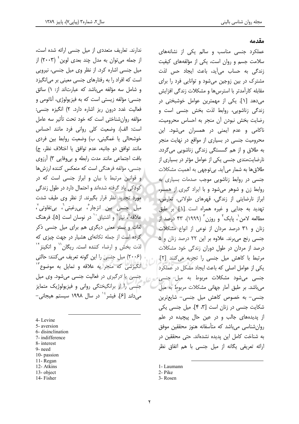## مقدمه

عملکرد جنسی مناسب و سالم یکی از نشانههای سلامت جسم و روان است، یکی از مؤلفههای کیفیت زندگی به حساب میآید، باعث ایجاد حس لذت مشترک در بین زوجین می شود و توانایی فرد را برای مقابله کارآمدتر با استرس ها و مشکلات زندگی افزایش می دهد [۱]. یکی از مهمترین عوامل خوشبختی در زندگی زناشویی، روابط لذت بخش جنسی است و رضایت بخش نبودن آن منجر به احساس محرومیت، ناکامی و عدم ایمنی در همسران میشود. این محرومیت جنسی در بسیاری از مواقع در نهایت منجر به طلاق و از هم گسستگی زندگی زناشویی می گردد. نارضایتمندی جنسی یکی از عوامل مؤثر در بسیاری از طلاق ها به شمار می آید. بی توجهی به اهمیت مشکلات جنسی در روابط زناشویی موجب صدمات بسیاری به روابط زن و شوهر میشود و با ایراد گیری از همسر، ابراز نارضایتی از زندگی، قهرهای طولانی، تعارض، تهدید به جدایی و غیره همراه است [۱]. بر طبق مطالعه لامن'، پایک' و روزن ٔ (۱۹۹۹)، ۴۳ درصد از زنان و ۳۱ درصد مردان از نوعی از انواع مشکلات جنسی رنج میبرند. علاوه بر این ٢٢ درصد زنان و ۵ درصد از مردان در طول دوران زندگی خود مشکلات مرتبط با كاهش ميل جنسى را تجربه مى كنند [٢]. یکی از عوامل اصلی که باعث ایجاد مشکل در عملکرد جنسی میشود مشکلات مربوط به میل جنسی می باشد. بر طبق آمار جهانی مشکلات مربوط به میل جنسی – به خصوص کاهش میل جنسی – شایعترین شکایت جنسی در زنان است [۳، ۴]. میل جنسی یکی از پدیدههای جالب و در عین حال پیچیده در علم روان شناسی می باشد که متأسفانه هنوز محققین موفق به شناخت کامل این پدیده نشدهاند. حتی محققین در ارائه تعریفی یگانه از میل جنسی با هم اتفاق نظر

1- Laumann

3-Rosen

ندارند. تعاریف متعددی از میل جنسی ارائه شده است، از جمله می توان به مدل چند بعدی لوین<sup>ء</sup>ُ (۲۰۰۳) از میل جنسی اشاره کرد. از نظر وی میل جنسی، نیرویی است که افراد را به رفتارهای جنسی معینی بر میانگیزد و شامل سه مؤلفه میباشد که عبارتاند از: ۱) سائق جنسي: مؤلفه زيستي است كه به فيزيولوژي، آناتومي و فعالیت غدد درون ریز اشاره دارد. ۲) انگیزه جنسی: مؤلفه روان شناختی است که خود تحت تأثیر سه عامل است: الف). وضعيت كلي رواني فرد مانند احساس خوشحالي يا غمگيني، ب) وضعيت روابط بين فردي مانند توافق دو جانبه، عدم توافق يا اختلاف نظر، ج) بافت اجتماعی مانند مدت رابطه و بی وفایی ۳) آرزوی جنسی، مؤلفه فرهنگی است که منعکس کننده ارزش ها و قوانین مرتبط با بیان و ابراز جنسی است که در کودکی یاد گرفته شدهاند و احتمال دارد در طول زندگی مورد تجدید نظر قرار بگیرند. از نظر وی طیف شدت ميل جنسي ٻين انزجار ؒ، ٻي غبتي ؒ، ٻي تفاوتي ؒ، علاقه^، نياز " و اشتياق `` در نوسان است [۵]. فرهنگ لغات و بستر معنی دیگری هم برای میل جنسی ذکر کرده است از جمله تکانهای هشیار در جهت چیزی که لذت بخش و ارضاء كننده است. ريگان<sup>\\</sup> و اتكينز<sup>\\</sup> (۲۰۰۶) میل جنسی را این گونه تعریف می کنند: حالتی ۔ انگیزشی که منجر به علاقه و تمایل به موضوع ٰ جنسی یا درگیری در فعالیت جنسی می شود. وی میل جنسي را از برانگيختگي رواني و فيزيولوژيک متمايز مے داند [۶]. فیشر <sup>16</sup> در سال ۱۹۹۸ سیستم هیجانی *–* 

- 4- Levine
- 5- aversion 6-disinclination
- 7- indifference
- 8-interest
- 9- need
- 10-passion
- 11-Regan
- 12- Atkins
- 13-object
- 14- Fisher

<sup>2-</sup> Pike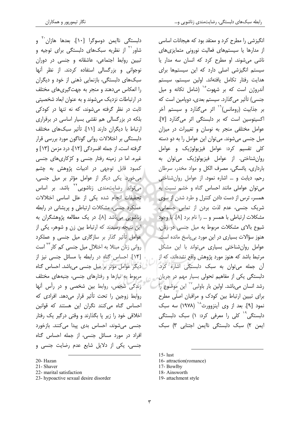دلبستگي ناايمن دوسوگرا [۱۰]. بعدها هازان آو شاور<sup>۱٬</sup> از نظریه سبکهای دلبستگی برای توجیه و تبيين روابط اجتماعي، عاشقانه و جنسي در دوران نوجوانی و بزرگسالی استفاده کردند. از نظر آنها سبکهای دلبستگی، بازنمایی ذهنی از خود و دیگران را انعکاس میدهند و منجر به جهت گیریهای مختلف در ارتباطات نزدیک می شوند و به عنوان ابعاد شخصیتی ثابت در نظر گرفته می شوند، که نه تنها در کودکی بلکه در بزرگسالی هم نقشی بسیار اساسی در برقراری ارتباط با دیگران دارند [۱۱]. تأثیر سبکهای مختلف دلبستگی بر اختلالات روانی گوناگون مورد بررسی قرار گرفته است، از جمله افسردگی [۱۲]، درد مزمن [۱۳] و غیره. اما در زمینه رفتار جنسی و کژکاری های جنسی کمبود قابل توجهی در ادبیات پژوهش به چشم می خورد. یکی دیگر از عوامل مؤثر بر میل جنسی، می تواند رضایت مندی زناشویی<sup>۲۲</sup> باشد. بر اساس تحقیقات انجام شده یکی از علل اساسی اختلالات عملکرد جنسی، مشکلات ارتباطی و پریشانی در رابطه زناشویی می باشد [۸]. در یک مطالعه پژوهشگران به این نتیجه رسیدند که ارتباط بین زن و شوهر، یکی از عوامل تأثیر گذار بر سازگاری میل جنسی و عملکرد روانی زنان مبتلا به اختلال میل جنسی کم کار<sup>۲۲</sup> است [۱۴]. احساس گناه در رابطه با مسائل جنسی نیز از ے دیگر عوامل مؤثر پر میل جنسی میباشد. احساس گناہ مربوط به نیازها و رفتارهای جنسی، جنبههای مختلف زندگی شخص، روابط بین شخصی و در رأس آنها روابط زوجين را تحت تأثير قرار مي دهد. افرادي كه احساس گناه می کنند نگران این هستند که قوانین اخلاقی خود را زیر پا بگذارند و وقتی درگیر یک رفتار جنسی می شوند، احساس بدی پیدا می کنند. بازخورد افراد در مورد مسائل جنسی، از جمله احساس گناه جنسی، یکی از دلایل شایع عدم رضایت جنسی و

20-Hazan

- 21- Shaver
- 22- marital satisfaction
- 23- hypoactive sexual desire disorder

انگیزشی را مطرح کرد و معتقد بود که هیجانات اساسی از مدارها یا سیستمهای فعالیت نورونی متمایزیهای ناشی می شوند. او مطرح کرد که انسان سه مدار یا سیستم انگیزشی اصلی دارد که این سیستمها برای هدايت رفتار تكامل يافتهاند. اولين سيستم، سيستم آندروژن است که بر شهوت<sup>°۱</sup> (شامل تکانه و میل جنسی) تأثیر می گذارد. سیستم بعدی، دویامین است که بر جذابیت (رومانس)<sup>۲۰</sup> اثر می¢ذارد و سیستم آخر اکسیتوسین است که بر دلبستگی اثر می گذارد [۷]. عوامل مختلفی منجر به نوسان و تغییرات در میزان میل جنسی میشوند. می توان این عوامل را به دو دسته کلی تقسیم کرد: عوامل فیزیولوژیک و عوامل روان شناختي. از عوامل فيزيولوژيک ميتوان به بارداری، پائسگی، مصرف الکل و مواد مخدر، سرطان رحم، دیابت و ... اشاره نمود. از عوامل روان شناختی می توان عواملی مانند احساس گناه و خشم نسبت به همسر، ترس از دست دادن کنترل و طرد شدن از سوی شريک جنسي، عدم لذت بردن از تماس جسماني، مشکلات ارتباطی با همسر و … را نام برد [۸]. با وجود شیوع بالای مشکلات مربوط به میل جنسی در زنان، هنوز سؤالات بسیاری در این مورد بی پاسخ مانده است. عوامل روان شناختی بسیاری می تواند با این مشکل مرتبط باشد که هنوز مورد پژوهش واقع نشدهاند، که از آن جمله میتوان به سبک دلبستگی اشاره کرد. دلبستگی یکی از مفاهیم تحولی بسیار مهم در جریان رشد انسان میباشد. اولین بار باولبی<sup>۱۰</sup> این موضوع را برای تبیین ارتباط بین کودک و مراقبان اصلی مطرح نمود [۹]. بعد از وي آينزوورث<sup>^۰</sup> (۱۹۷۸) سه سبک دلبستگی<sup>۱۹</sup> کلی را معرفی کرد: ۱) سبک دلبستگی ایمن ۲) سبک دلبستگی ناایمن اجتنابی ۳) سبک

 $15 -$ lust

- 17-Bowlby
- 18- Ainsworth
- 19- attachment style

<sup>16-</sup> attraction(romance)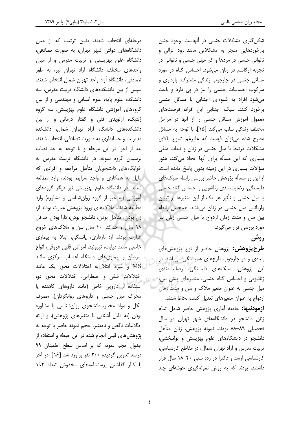مرحلهای انتخاب شدند. بدین ترتیب که از میان دانشگاههای دولتی شهر تهران، به صورت تصادفی، دانشگاه علوم بهزیستی و تربیت مدرس و از میان واحدهای مختلف دانشگاه آزاد تهران نیز، به طور تصادفي، دانشگاه آزاد واحد تهران شمال انتخاب شدند. سپس از بین دانشکدههای دانشگاه تربیت مدرس، سه دانشکده علوم پایه، علوم انسانی و مهندسی و از بین گروههای آموزشی دانشگاه علوم بهزیستی، سه گروه ژنتیک، ارتوپدی فنی و گفتار درمانی و از بین دانشکدههای دانشگاه آزاد تهران شمال، دانشکده مدیریت و حسابداری به صورت تصادفی، انتخاب شدند. بعد از اجرا در این مرحله و با توجه به حد نصاب نرسیدن گروه نمونه، در دانشگاه تربیت مدرس به خوابگاههای دانشجویان متأهل مراجعه و افرادی که مایل به همکاری و واجد شرایط بودند، وارد مطالعه شدند. در دانشگاه علوم بهزیستی نیز دیگر گروههای آموزشی (به غیر از گروه روانشناسی و مشاوره) وارد مطالعه شدند. ملاک&ای ورود پژوهش عبارت بودند از: زن بودن، متأهل بودن، دانشجو بودن، دارا بودن حداقل ۱۸ سال و حداکثر ۴۰ سال سن و ملاکهای خروج عبارت بودند از: بارداری، پائسگی، ابتلا به بیماری خاصي مانند ديابت، تيروئيد، امراض قلبي عروقي، انواع سرطان و بیماری های دستگاه اعصاب مرکزی مانند MS و غیره. ابتلا به اختلالات محور یک مانند اختلالات خلقی و اضطرابی، اختلالات محور دو، استفاده از دارویی خاص (مانند داروهای کاهنده یا محرک میل جنسی و داروهای روانگردان)، مصرف الکل و مواد مخدر، دانشجوی روان شناسی یا مشاوره بودن (به دلیل آشنایی با متغیرهای پژوهش)، و ارائه اطلاعات ناقص و نامعتبر. حجم نمونه حاضر با توجه به پژوهشهای قبلی انجام شده در این حیطه و استفاده از جدول حجم نمونه كه بر اساس سطح اطمينان ٩٩ درصد تدوین گردیده ۲۰۰ نفر برآورد شد [۱۶]. در آخر با کنار گذاشتن پرسشنامههای مخدوش تعداد ۱۹۲

شکل گیری مشکلات جنسی در آنهاست. وجود چنین بازخوردهایی منجر به مشکلاتی مانند زود انزالی و ناتوانی جنسی در مردها و کم میلی جنسی و ناتوانی در تجربه ارگاسم در زنان می شود. احساس گناه در مورد مسائل جنسی در چارچوب زندگی مشترک، بازداری و سرکوب احساسات جنسی را نیز در پی دارد و باعث می شود افراد به شیوهای اجتنابی با مسائل جنسی برخورد كنند. سبك اجتنابي اين افراد، فرصتهاى معمول آموزش مسائل جنسی را از آنها در مراحل مختلف زندگی سلب میکند [۱۵]. با توجه به مسائل مطرح شده می توان فهمید که علیرغم شیوع بالای مشکلات مرتبط با میل جنسی در زنان و تبعات منفی بسیاری که این مسأله برای آنها ایجاد میکند، هنوز سؤالات بسیاری در این زمینه بدون پاسخ مانده است. از این رو مسأله پژوهش حاضر بررسی رابطه سبکهای دلبستگی، رضایتمندی زناشویی و احساس گناه جنسی با میل جنسی و تأثیر هر یک از این متغیرها بر تبیین واریانس میل جنسی در زنان می باشد. همچنین رابطه بین سن و مدت زمان ازدواج با میل جنسی زنان نیز مورد بررسی قرار می گیرد.

## روش

**طرحپژوهش:** پژوهش حاضر از نوع پژوهشهای بنیادی و در چارچوب طرحهای همبستگی میباشد. در این پژوهش، سبکهای دلبستگی، رضایتمندی زناشویی و احساس گناه جنسی، متغیرهای پیش بین، میل جنسی به عنوان متغیر ملاک و سن و مدت زمان ازدواج به عنوان متغيرهاى تعديل كننده لحاظ شدند.

**آزمودنیها:** جامعه آماری پژوهش حاضر شامل تمام زنان دانشجو در دانشگاههای شهر تهران در سال تحصيلي ٨٩–٨٨ بودند. نمونه پژوهش، زنان متأهل دانشجو در دانشگاههای علوم بهزیستی و توانبخشی، تربیت مدرس و آزاد تهران شمال، در مقاطع کارشناسی، کارشناسی ارشد و دکترا در رده سنی ۴۰-۱۸ سال قرار داشتند، بودند که به روش نمونهگیری خوشهای چند

٤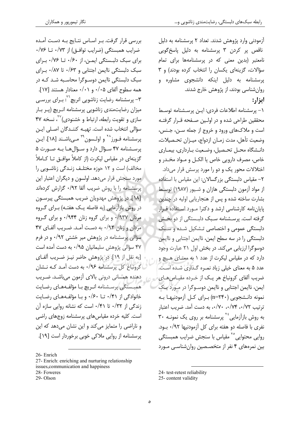بررسی قرار گرفت. بـر اسـاس نتـایج بـه دسـت آمـده ضرایب همبستگی (ضرایب توافتی) از ۰/۷۳ تا ۰/۷۶

برای سبک دلبستگی ایمـن، از ۰/۶۰ تــا ۰/۷۶ بـرای

سبک دلبستگی ناایمن اجتنابی و ۶۳/۰ تا ۰/۸۷ برای

سبک دلبستگی ناایمن دوسـوگرا محاسـبه شـد کـه در

همه سطوح آلفای ۰/۰۵ و ۰/۰۱ معنادار هستند [۱۷].

۳- پرسشنامه رضایت زناشویی انریچ<sup>۲۰</sup>: بـرای بررس*ـی* 

میزان رضایتمندی زناشویی پرسشنامه انـریچ (پـر بـار

سازی و تقویت رابطه، ارتباط و خشنودی) <sup>۲۷</sup>، نسخه ۴۷

سؤالي انتخاب شده است. تهيـه كننـدگان اصـلى ايـن

پرسشنامه فـورز<sup>۲۸</sup> و اولـسون<sup>۲۹</sup> مـیباشـند [۱۸]. ایـن

پرسشنامه ۴۷ سـؤال دارد و سـؤالهـا بـه صـورت ۵

گزینهای در مقیاس لیکرت (از کاملاً موافــق تــا کــاملاً

مخالف) است و ١٢ حوزه مختلـف زنـدگي زناشـويي را

مورد سنجش قرار میدهد. اولسون و دیگران اعتبار این

پرسشنامه را با روش ضریب آلفا ۰/۹۲ گزارش کردهاند

[١٨]. در پژوهش مهدويان ضريب همبستگي پيرسـون

در روش بازآزمایی (به فاصله یـک هفتـه) بـرای گـروه

مردان ۰/۹۳۷ و برای گروه زنان ۹۴۴/۰ و برای گـروه

مردان و زنان ۹۴/۰ به دست آمد. ضریب آلفای ۴۷

سؤالی پرسشنامه در پژوهش میر خشتی ۹۲/۰ و در فرم

۴۷ سؤالی پژوهش سلیمانیان ۰/۹۵ به دست آمده است

[به نقل از ١٩]. در پژوهش حاضر نيـز ضـريب آلفـاى

کرونباخ کل پرسشنامه ۰/۹۶ به دست آمـد کـه نـشان

دهنده همسانی درونی بالای آزمون میباشد. ضریب

همبستگی پرسشنامه انریچ با مؤلفههای رضایت

خانوادگی از ۰/۴۱ تـا ۰/۶۰ و بـا مؤلفـههـای رضـایت

زندگی از ۰/۳۲ تا ۰/۴۱ است که نشانه روایی سازه آن

است. کلیه خرده مقیاس های پرسشنامه زوجهای راضی

و ناراضی را متمایز می کند و این نشان می دهد که این

پرسشنامه از روایی ملاکی خوبی برخوردار است [۱۹].

آزمودنی وارد پژوهش شدند. تعداد ۲ پرسشنامه به دلیل ناقص پر کردن ۳ پرسشنامه به دلیل پاسخگویی نامعتبر (بدین معنی که در پرسشنامهها برای تمام سؤالات، گزینهای یکسان را انتخاب کرده بودند) و ۳ پرسشنامه به دلیل اینکه دانشجوی مشاوره و روان شناسی بودند، از پژوهش خارج شدند. ابزار:

١- پرسشنامه اطلاعات فردى: اين پرسشنامه توسط محققین طراحی شده و در اولـین صـفحه قـرار گرفتـه است و ملاکهای ورود و خروج از جمله سـن، جـنس، وضعيت تأهل، مدت زمـان ازدواج، ميـزان تحـصيلات، دانـشگاه محـل تحـصیل، وضـعیت بـارداری، بیمـاری خاص، مصرف دارويي خاص يا الكــل و مــواد مخــدر و اختلالات محور یک و دو را مورد پرسش قرار می داد. ٢– مقياس دلبستگي بزرگسالان: اين مقياس با استفاده از مواد آزمون دلبستگی هازان و شـیور (۱۹۸۷) توسـط بشارت ساخته شده و پس از هنجاریابی اولیه در چندین پایان نامه کارشناسی ارشد و دکترا مـورد اسـتفاده قـرار گرفته است. پرسشنامه سبک دلبستگی از دو بخش دلبستگی عمومی و اختصاصی تـشکیل شـده و سـبک دلبستگی را در سه سطح ایمن، ناایمن اجتنابی و ناایمن دوسوگرا ارزیابی می کند. در بخش اول ۲۱ عبارت وجود دارد که در مقیاس لیکرت از عدد ۱ به معنـای هـیچ و عدد ۵ به معنای خیلی زیاد نمـره گـذاری شـده اسـت. ضریب آلفای کرونباخ هر یک از خرده مقیاس های ايمن، ناايمن اجتنابي و ناايمن دوسـوگرا در مـورد يـک نمونه دانـشجویی (۳۴۰-n=۲۴) بـرای کـل آزمودنیهـا بـه ترتیب ۷۲/۰، ۰/۷۴، ۰/۷۰، به دست آمد. ضرب اعتبار به روش بازآزمایی<sup>۲۶</sup> پرسشنامه بر روی یک نمونـه ۳۰ نفری با فاصله دو هفته برای کل آزمودنیها ۰/۹۲ بود. روایی محتوایی<sup>°۲</sup> مقیاس با سنجش ضرایب همبستگ*ی* بین نمرههای ۴ نفر از متخصـصین روان شناسـی مـورد

<sup>26-</sup>Enrich

<sup>27-</sup> Enrich: enriching and nurturing relationship issues, communication and happiness 28- Foweres

<sup>29-</sup>Olson

<sup>24-</sup> test-retest reliability

<sup>25-</sup>content validity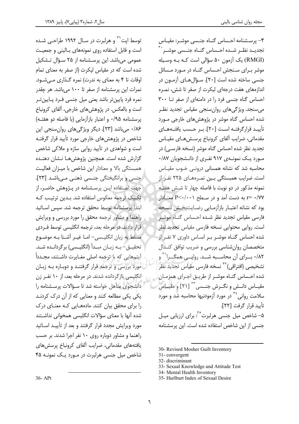توسط ایت<sup>۲۰</sup> و هرلبرت در سـال ۱۹۹۲ طراحـی شـده است و قابل استفاده روی نمونههای بالینی و جمعیت عمومی میباشد. این پرسشنامه از ۲۵ سـؤال تـشکیل شده است که در مقیاس لیکرت (از صفر به معنای تمام اوقات تا ۴ به معنای به ندرت) نمره گذاری میشود. نمرات این پرسشنامه از صفر تا ۱۰۰ می،باشد. هر چقدر نمرہ فرد پایین تر باشد یعنی میل جنسی فـرد پـایین *تـر* است و بالعکس. در پژوهش های خارجی، آلفای کرونباخ یرسشنامه ۰/۹۵ و اعتبار بازآزمایی (با فاصله دو هفتـه) ١٨۶، میباشد [٢٣]. دیگر ویژگیهای روان سنجی این شاخص در پژوهشهای خارجی مورد تأیید قرار گرفتـه است و شواهدی در تأیید روایی سازه و ملاکی شاخص گزارش شده است. همچنین پژوهش هـا نـشان دهنـده همبستگی بالا و معنادار این شاخص با میـزان فعالیـت جنسی و برانگیختگی جنسی ذهنبی مےباشد [۲۳]. جهت استفاده ایـن پرسـشنامه در پـژوهش حاضـر، از تکنیک ترجمه معکوس استفاده شد. بـدین ترتیـب کـه ابتدا يرسشنامه توسط محقق ترجمه شد. سيس اسـاتيد راهنما و مشاور ترجمه محقق را مورد بررسی و ویرایش قرار دادند. در مرحله بعد، ترجمه انگلیسی توسط فـردی مسلط به زبان انگلیـسی- امـا غیـر آشـنا بـه موضـوع تحقيــق – بــه زبــان مبــدأ (انگليــسى) برگردانــده شــد. آیتمهایی که با ترجمه اصلی مغـایرت داشـتند، مجـدداً ً مورد بررسی و ترجمه قرار گرفتنـد و دوبـاره بـه زبـان انگلیسی بازگردانده شدند. در مرحله بعد، از ۱۰ نفـر زن دانشجوی متأهل خواسته شد تا سـؤالات پرسـشنامه را یکی یکی مطالعه کنند و معنایی که از آن درک کردنـد را برای محقق بیان کنند. مادههـایی کـه معنـای درک شده آنها با معنای سؤالات انگلیسی همخوانی نداشتند مورد ویرایش مجدد قرار گرفتند و بعد از تأییـد اسـاتید راهنما و مشاور دوباره روی ۱۰ نفر اجرا شدند. بر حسب یافتههای مقدماتی، ضرایب آلفای کرونباخ پرسشهای شاخص میل جنسی هرلبرت در مـورد یـک نمونـه ۴۵

مجله روان شناسي باليني

۴– پرسـشنامه احـساس گنــاه جنـسی موشـر: مقيـاس تجدیــد نظــر شــده احــساس گنــاه جنــسی موشــر ` (RMGI) یک آزمون ۵۰ سؤالی است کـه بـه وسـیله موشر برای سنجش احساس گناه در مورد مسائل جنسی ساخته شده است [٢٠]. سؤالهای آزمون در اندازههای هفت درجهای لیکرت از صفر تا شش، نمـره مي سنجد. ويژگي هاي روان سنجي مقياس تجديد نظـر شده احساس گناه موشر در پژوهش های خارجی مـورد تأييد قرار گرفتـه اسـت [٢٠]. بـر حـسب يافتـههـاى مقدماتي، ضرايب آلفاي كرونباخ پرسش هـاي مقيـاس تجدید نظر شده احساس گناه موشر (نسخه فارسـی) در مـورد یـک نمونـهی ۹۱۷ نفـری از دانـشجویان ۰/۸۷ محاسبه شد که نشانه همسانی درونبی خـوب مقیـاس است. ضرایب همبستگی بـین نمـرههـای ۲۲۵ نفـر از نمونه مذكور در دو نوبت با فاصله چهار تا شـش هفتـه r= ۰/۷۷ به دست آمد و در سطح P<۰/۰۰۱ معنـادار بود که نشانه اعتبـار بازآزمـایی رضـایتبخـش نـسخه فارسی مقیاس تجدید نظر شـده احـساس گنـاه موشـر است. روایی محتوایی نسخه فارسی مقیاس تجدید نظر شده احساس گنـاه موشـر بـر اسـاس داوری ۷ نفـر از متخصصان روان شناسی بررسی و ضریب توافق کنـدال ۸۲/۰ بهرای آن محاسبه شــد. روایــی همگــرا<sup>۳۱</sup> و تشخیصی (افتراقی) ``` نسخه فارسی مقیاس تجدید نظر شده احـساس گنـاه موشـر از طريـق اجـراي همزمـان مقيــاس دانــش و نگــرش جنــسي <sup>٣٢</sup> [٢١] و مقيــاس سلامت روانی <sup>۳٤</sup> در مورد آزمودنیها محاسبه شد و مورد تأييد قرار گرفت [٢٢]. ۵– شاخص میل جنسی هرلبرت°<sup>۲</sup>: برای ارزیابی میـل جنسی از این شاخص استفاده شده است. این پرسشنامه

30- Revised Mosher Guilt Inventory

- 32-discriminant
- 33- Sexual Knowledge and Attitude Test
- 34- Mental Health Inventory
- 35- Hurlburt Index of Sexual Desire

 $36 - APt$ 

<sup>31-</sup>convergent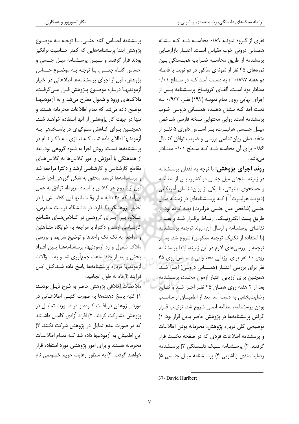پرسشنامه احساس گناه جنسی. بـا توجـه بـه موضـوع

پژوهش ابتدا پرسشنامههایی که کمتر حساسیت برانگیز

بودند قرار گرفتند و سپس پرسشنامه میـل جنـسی و

احساس گنـاه جنـسى. بـا توجـه بـه موضـوع حـساس

پژوهش، قبل از اجرای پرسشنامهها اطلاعاتی در اختیار

آزمودنيهـا دربـاره موضـوع پـژوهش قـرار مـي۶رفـت،

ملاکهای ورود و شمول مطرح میشد و به آزمودنیها

توضیح داده می شد که تمام اطلاعات محرمانه هستند و

تنها در جهت کار پژوهشی از آنها استفاده خواهـد شـد.

همچنین بـرای کـاهش سـوگیری در پاسـخدهی بـه

آزمودنیها اطلاع داده شد کـه نیـازی بـه ذکـر نـام در

پرسشنامهها نیست. روش اجرا به شیوه گروهی بود. بعد

از هماهنگی با آموزش و امور کلاسها به کلاسهای

مقاطع کارشناسی و کارشناسی ارشد و دکترا مراجعه شد

و پرسشنامهها توسط محقق به شکل گروهی اجرا شـد.

قبل از شروع هر كلاس با استاد مربوطه توافق به عمل

می آمد که ۳۰ دقیقـه از وقـت انتهـایی کلاسـش را در

اختیار پژوهشگر بگـذارد. در دانـشگاه تربیـت مـدرس،

علاوه بر اجرای گروهمی در کلاس های مقاطع

نفری از گروه نمونـه ۰/۸۹ محاسـبه شـد کـه نـشانه همسانی درونی خوب مقیاس است. اعتبـار بازآزمـایی پرسشنامه از طریق محاسـبه ضـرایب همبـستگی بـین نمرههای ۴۵ نفر از نمونهی مذکور در دو نوبت با فاصله دو هفته r=۰/۸۹۷ به دست آمد کـه در سـطح ۰/۰۱ معنادار بود است. آلفای کرونبـاخ پرسـشنامه پـس از اجرای نهایی روی تمام نمونـه (۱۹۲) نفـر، ۰/۹۳۳ بـه دست آمد کـه نـشان دهنـده همـسانی درونـی خـوب پرسشنامه است. روایی محتوایی نسخه فارسی شباخص میــل جنــسی هرلبــرت، بــر اســاس داوری ۵ نفــر از متخصصان روان شناسی بررسی و ضریب توافق کنـدال ١٨۶، برای آن محاسبه شد کـه سـطح ٠/٠١ معنـادار مے باشد.

**روند اجرای پژوهش:** با توجه به فقدان پرسـشنامه در زمینه سنجش میل جنسی در کشور، پس از مطالعـه و جستجوی اینترنتی، با یکی از روان شناسان آمریکایی (دیوید هرلبرت<sup>۳</sup>) که پرسشنامهای در زمینه میل جنسی (شاخص میل جنسی هرلبرت) تهیه کرده بود، از طريق يست الكترونيك، ارتبـاط برقـرار شـد و بعـد از تقاضای پرسشنامه و ارسال آن، روند ترجمه پرسشنامه (با استفاده از تکنیک ترجمه معکوس) شروع شد. بعد از ترجمه و بررسی های لازم در این زمینه، ابتدا پرسشنامه روی ١٠ نفر برای ارزیابی محتوایی و سپس روی ۴۵ نفر برای بررسی اعتبار (همسانی درونی) اجرا شد. همچنین برای ارزیابی اعتبار أزمون مجدد، پرسشنامه بعد از ٢ هفته روى همان ۴۵ نفر اجرا شد و نتايج رضایتبخشی به دست آمد. بعد از اطمینــان از مناسـب بودن پرسشنامه، مطالعه اصلی شروع شد. ترتیب قـرار گرفتن پرسشنامهها در پژوهش حاضر بدین قرار بود: ۱) توضيحي كلي درباره پژوهش، محرمانه بودن اطلاعات و پرسشنامه اطلاعات فردی که در صفحه نخست قرار گرفتند. ۲) پرسشنامه سبک دلبستگی ۳) پرسشنامه رضایت مندی زناشویی ۴) پرسشنامه میل جنسی ۵)

کارشناسی ارشد و دکترا، با مراجعه به خوابگاه متـأهلین و مراجعه به تک تک واحدها و توضیح شرایط و بررسی ملاک شمول و رد آزمودنیها، پرسشنامههـا بـین افـراد پخش و بعد از چند ساعت جمعآوری شد و به سـؤالات آزمودنیها درباره پرسشنامهها یاسخ داده شـد.کـل ایـن فرآیند ۴ ماه به طول انجامید. ملاحظات اخلاقي پژوهش حاضر به شرح ذيـل بودنـد: ١) كليه ياسخ دهندهها به صورت كتبي اطلاعـاتي در مورد پـژوهش دريافـت كـرده و در صـورت تمايـل در پژوهش مشاركت كردند. ۲) افراد آزادي كامـل داشـتند که در صورت عدم تمایل در پژوهش شرکت نکنند. ۳) این اطمینان به آزمودنیها داده شد کـه تمـام اطلاعـات محرمانه هستند و برای امور پژوهشی مورد استفاده قرار

خواهند گرفت. ۴) به منظور رعایت حریم خصوصی نام

<sup>37-</sup> David Hurlbert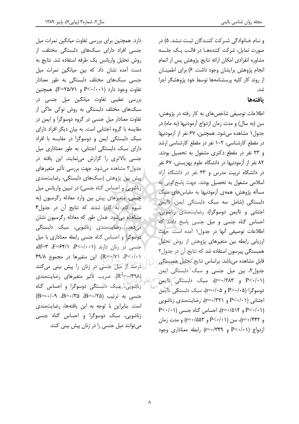و نام خانوادگی شـرکت کننـدگان ثبـت نـشد. ۵) در صورت تمایل، شرکت کنندههـا در قالب یـک جلـسه مشاوره انفرادى امكان ارائه نتايج پژوهش پس از اتمام انجام پژوهش برایشان وجود داشت. ۶) برای اطمینان از روند کار کلیه پرسشنامهها توسط خود پژوهشگر اجرا شد.

## بافتهها

اطلاعات توصیفی شاخص های به کار رفته در پژوهش، سن (به سال) و مدت زمان ازدواج آزمودنیها (به ماه) در جدول ١ مشاهده مى شود. همچنين، ۶۷ نفر از آزمودنيها در مقطع کارشناسی، ۱۰۲ نفر در مقطع کارشناسی ارشد و ٢٣ نفر در مقطع دكترى مشغول به تحصيل بودند. ۸۲ نفر از آزمودنیها در دانشگاه علوم بهزیستی، ۶۷ نفر در دانشگاه تربیت مدرس و ۴۳ نفر در دانشگاه آزاد اسلامی مشغول به تحصیل بودند. جهت یاسخ گویی به مسأله پژوهش، همهی آزمودنیها به مقیاس های سبک دلبستگی (شامل سه سبک دلبستگی ایمن، ناایمن اجتنابی و ناایمن دوسوگرا)، رضایتمندی زناشویی، احساس گناه جنسی و میل جنسی پاسخ دادند که اطلاعات توصیفی آنها در جدول ۱ آمده است. جهت ارزیابی رابطه بین متغیرهای پژوهش از روش تحلیل همبستگی پیرسون استفاده شد که نتایج آن در جدول۲ قابل مشاهده مىباشد. براساس نتايج تحليل همبستكى جدول٢، بين ميل جنسى و سبك دلبستگى ايمن P<٠/٠١) و r=٠/٢٨٣)، سبك دلبستگي ناايمن دوسوگرا (P>٠/٠۵ و r=٠/٠۵)، سبک دلبستگی ناایمن اجتنابی (۶٬۰/۰۱ و ۲۳۱/۰۱=r)، رضایت مندی زناشویی  $P<\cdot/\cdot$ ) و ۲۵۱۲–۲ $r=-(r=\cdot/\Delta)$ ، احساس گناه جنسی (۲۰/۰۱)  $(r=*/\mathfrak{S})$ و ۲۴۴/۰۳)، سن (۲۰/۰۱) و ۲ $r=$ ۰/۵۵۳) و مدت زمان ازدواج (۶/۰/۰۱ و ۶۹\*۰/۳۳) رابطه معناداری وجود

دارد. همچنین برای بررسی تفاوت میانگین نمرات میل جنسی افراد دارای سبکهای دلبستگی مختلف، از روش تحلیل واریانس یک طرفه استفاده شد. نتایج به دست آمده نشان داد که بین میانگین نمرات میل جنسی سبکهای مختلف دلبستگی به طور معنادار تفاوت وجود دارد (P<-/··۱ و ۲۵/۷۱=F). همچنین بررسی تعقیبی تفاوت میانگین میل جنسی در سبکهای مختلف دلبستگی به روش توکی حاکی از تفاوت معنادار ميل جنسي در گروه دوسوگرا و ايمن در مقایسه با گروه اجتنابی است. به بیان دیگر افراد دارای سبک دلبستگی ایمن و دوسوگرا در مقایسه با افراد دارای سبک دلبستگی اجتنابی، به طور معناداری میل جنسی بالاتری را گزارش مینمایند. این یافته در جدول۳ مشاهده میشود. جهت بررسی تأثیر متغیرهای پیش بین پژوهش (سبکهای دلبستگی، رضایتمندی زناشویی و احساس گناه جنسی) در تبیین واریانس میل جنسی، متغیرهای پیش بین وارد معادله رگرسیون (به شیوه گام به گام) شدند که نتایج آن در جدول۴ مشاهده میشود. همان طور که معادله رگرسیون نشان می دهد، رضایت مندی زناشویی، سبک دلبستگی دوسوگرا و احساس گناه جنسی رابطه معناداری با میل جنسی در زنان دارند (P<٠/٠٠١، af=٣، ٣=5۴/١،  $P<\cdot/\cdot$ ، ۳۹/۸). این متغیرها در مجموع ۴۹/۸ درصد از میل جنسی در زنان را پیش بینی میکنند (R<sup>2</sup>=۰/۴۹۸). ضریب تأثیر متغیرهای رضایتمندی زناشویی، سبک دلبستگی دوسوگرا و احساس گناه جنسی به ترتیب (B=٠/٢۵، B=٠/٣۵، -=B) است. بنابراین با توجه به این یافتهها، رضایتمندی زناشویی، سبک دوسوگرا و احساس گناه جنسی می توانند میل جنسی را در زنان پیش بینی کنند.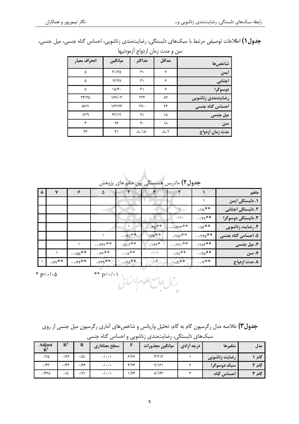|  |  | <b>جدول ( )</b> اطلاعات توصیفی مرتبط با سبکهای دلبستگی، رضایتمندی زناشویی، احساس گناه جنسی، میل جنسی، |  |
|--|--|-------------------------------------------------------------------------------------------------------|--|
|--|--|-------------------------------------------------------------------------------------------------------|--|

| نس و ست رس روبن ارسومیها |       |         |               |              |  |  |
|--------------------------|-------|---------|---------------|--------------|--|--|
| شاخصها                   | حداقل | حداكثر  | ميانگين       | انحراف معيار |  |  |
| ايمن                     | ۶     | ٣١      | $Y\ Y\$ ۵     | ۵            |  |  |
| اجتنابي                  | ۶     | ٣١      | Yf/9Y         | ۵            |  |  |
| دوسوگرا                  | ٧     | ٣١      | 10/f.         | ۵            |  |  |
| رضایتمندی زناشویی        | ٨Y    | ٢٢۴     | $Y/Y/\cdot Y$ | ۲۴/۳۵        |  |  |
| احساس گناه جنسی          | ۲۴    | ٢٧.     | 185178        | $\Delta V/Y$ |  |  |
| میل جنسی                 | ۱۵    | ۹۱      | 55/17         | 18/9         |  |  |
| سن                       | ١٨    | ۴٠      | ۲۶            | ۴            |  |  |
| مدت زمان ازدواج          | ۲ ماه | ۱۵۰ ماه | ۴۱            | ۳۶           |  |  |

سن و مدت زمان ازدواج آزمودندها

۔<br>**جدول ۲)** ماتریس همبستگی بین متغیرهای پژوهش

| متغير                   |                            |                     |                 |                     | ۵         | $\epsilon$                   |                             | ⋏ |
|-------------------------|----------------------------|---------------------|-----------------|---------------------|-----------|------------------------------|-----------------------------|---|
| ۱. دلبستگ <i>ی</i> ایمن |                            |                     |                 |                     |           |                              |                             |   |
| ۲. دلبستگی اجتنابی      | $\cdot$ / $\vee\wedge^*$ * |                     |                 |                     |           |                              |                             |   |
| ۳. دلبستگی دوسوگرا      | $-.79$ **                  | $\cdot/\rightarrow$ |                 |                     |           |                              |                             |   |
| ۴. رضایت زناشویی        | $\cdot$ / $\circ$ x $*$    | $-.$ /۴۲۴**         | $-150**$        |                     |           |                              |                             |   |
| ۵. احساس گناه جنسی      | $-1750**$                  | $.70y**$            | $.75$ **        | $-150**$            |           |                              |                             |   |
| ۶. میل جنسی             | $\cdot$ /۲ $\Lambda$ ۳**   | $-1771$ **          | $.1155*$        | $-(015 *$           | $-1$ $55$ |                              |                             |   |
| ٧. سن                   | $-170**$                   | $\cdot$ /٢۵**       | $\cdot/\cdot$   | $-\cdot\Delta^{**}$ | $.$ /۴۳** | $-\cdot$ / $\Delta\Delta$ ** |                             |   |
| ۸. مدت ازدواج           | $-\cdot$ / $\uparrow^*$ *  | $.7$ **             | $\cdot/\cdot$ ۴ | $-17\lambda**$      | $.779$ ** | $-.75$ **                    | $\cdot$ / $\gamma\gamma$ ** |   |

$$
* \mathsf{p}{<}{\boldsymbol{\cdot}}/{\boldsymbol{\cdot}}{\boldsymbol{\mathsf{\Delta}}}
$$

$$
*^{\mathbf{p} < \cdot/\cdot} > \mathcal{E}_\mathcal{P}
$$

جدول۳) خلاصه مدل رگرسیون گام به گام، تحلیل واریانس و شاخصهای آماری رگرسیون میل جنسی از روی سبکهای دلبستگی، رضایتمندی زناشویی و احساس گناه جنسی

| Adjust<br>$\mathbf{R}^2$ | Dʻ<br>N        | R              | سطح معنادارى        |               | ميانگين مجذورات   | درجه أزادى | متغيرها       | مدل    |
|--------------------------|----------------|----------------|---------------------|---------------|-------------------|------------|---------------|--------|
| $\cdot$ /۲۵              | ۰/۲۶           | $\cdot/\Delta$ | $\cdot$ / $\cdot$ \ | ۶/۶۷          | $f/f \setminus f$ |            | ِضايت زناشويي | گاھ    |
| $\cdot$ /۴۳              | $\cdot$ /۴۴    | ۱۶۶            | $\cdot$ / $\cdot$ \ | $\frac{6}{3}$ | 9/151             |            | سبک دوسوگرا   | گام '  |
| $.$ /۴۹۸                 | $\cdot/\Delta$ | ۰/۷۱           | $\cdot/\cdot\cdot$  | ۱/۶۴          | $\lambda$         |            | احساس گناه    | گام "ا |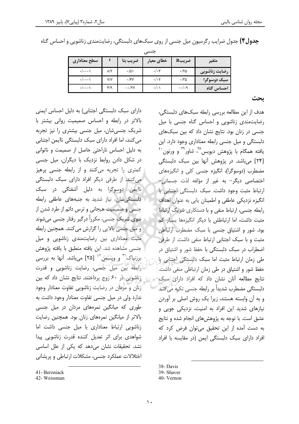| جنسے ،         |                |                |                 |             |               |  |  |
|----------------|----------------|----------------|-----------------|-------------|---------------|--|--|
| سطح معناداري   |                | ضريب بتا       | خطاي معيار      | ضريبB       | متغير         |  |  |
| $\cdot/\cdots$ | $\lambda/\tau$ | $\cdot/\Delta$ | $\cdot/\cdot$ ۳ | $\cdot$ /۲۵ | رضايت زناشويي |  |  |
| $\cdot/\cdots$ | Y/Y            | $\cdot$ /۴۷    | $\cdot/\cdot7$  | $\cdot$ /۳۵ | سبک دوسوگرا   |  |  |
| $\cdot/\cdots$ | ۴/۹            | $ \cdot$ /۲۷   | $\cdot/\cdot$   | −∙∕∙੧       | احساس گناه    |  |  |

ج**دول۴)** جدول ضرایب رگرسیون میل جنسی از روی سبکهای دلبستگی، رضایتمندی زناشویی و احساس گناه

**ىحث** 

دارای سبک دلبستگی اجتنابی) به دلیل احساس ایمنی بالاتر در رابطه و احساس صمیمیت روانی بیشتر با شریک جنسیشان، میل جنسی بیشتری را نیز تجربه می کنند، اما افراد دارای سبک دلبستگی ناایمن اجتنابی به دلیل احساس ناراحتی حاصل از صمیمت و ناتوانی در شکل دادن روابط نزدیک با دیگران، میل جنسی کمتر*ی* را تجریه میکنند و از رابطه جنسی پرهیز می کنند. از طرفی دیگر افراد دارای سبک دلبستگی ناایمن دوسوگرا به دلیل آشفتگ*ی* در سبک دلبستگیشان، نیاز شدید به جنبههای عاطفی رابطه جنسی و صمیمیت هیجانی و ترس دائم از طرد شدن از سوی شریک جنسی، مکرراً درگیر رفتار جنسی میشوند و میل جنسی بالایی را گزارش میکنند. همچنین رابطه مثبت معناداری بین رضایتمندی زناشویی و میل جنسی مشاهده شد. این یافته منطبق با یافته پژوهش برزنیاک'<sup>۴</sup> و ویسمن<sup>۲</sup>ٔ [۲۵] میباشد. آنها به بررسی رابطه بین میل جنسی، رضایت زناشویی و قدرت زناشویی در ۶۰ زوج پرداختند. نتایج نشان داد که بین زنان و مردان در رضایت زناشویی تفاوت معنادار وجود ندارد ولی در میل جنسی تفاوت معنادار وجود داشت به طوری که میانگین نمرههای مردان در میل جنسی بالاتر از میانگین نمرههای زنان بود. همچنین رضایت زناشویی ارتباط معناداری با میل جنسی داشت اما شواهدی برای اثر تعدیل کننده قدرت زناشویی پیدا نشد. تحقیقات نشان میدهد که یکی از علل اساسی اختلالات عملکرد جنسی، مشکلات ارتباطی و پریشانی

هدف از این مطالعه بررسی رابطه سبکهای دلبستگی، رضایتمندی زناشویی و احساس گناه جنسی با میل جنسی در زنان بود. نتایج نشان داد که بین سبکهای دلبستگی و میل جنسی رابطه معناداری وجود دارد. این  $\lqqqq$ یافته همگام با پژوهش دیویس $\lqqqqqqqqqqqqqqqqqqqqqqq$ [۲۴] میباشد. در پژوهش آنها بین سبک دلبستگی مضطرب (دوسوگرا)، انگیزه جنسی کلی و انگیزههای اختصاصی دیگر– به غیر از مؤلفه لذت جسمانی– ارتباط مثبت وجود داشت. سبک دلبستگی اجتنابی با انگیزه نزدیکی عاطفی و اطمینان یابی به عنوان اهداف رابطه جنسی، ارتباط منفی و با دستکاری شریک ارتباط مثبت داشت، اما ارتباطش با دیگر انگیزهها بسیار کم بود. شور و اشتیاق جنسی با سبک مضطرب ارتباطی مثبت و با سبک اجتنابی ارتباط منفی داشت. از طرفی اضطراب در سبک دلبستگی با حفظ شور و اشتیاق در طی زمان ارتباط مثبت اما سبک دلبستگی اجتنابی با حفظ شور و اشتیاق در طی زمان ارتباطی منفی داشت. نتایج مطالعه آنان نشان داد که افراد دارای سبک دلبستگی مضطرب شدیداً بر رابطه جنسی تکیه میکنند و به آن وابسته هستند، زیرا یک روش اصلی بر آوردن نیازهای شدید این افراد به امنیت، نزدیکی جویی و عشق است. با توجه به پژوهشهای انجام شده و نتایج به دست آمده از این تحقیق میتوان فرض کرد که افراد دارای سبک دلبستگی ایمن (در مقایسه با افراد

41- Berzniack 42- Weissman

<sup>38-</sup> Davis

<sup>39-</sup> Shaver

<sup>40-</sup> Vernon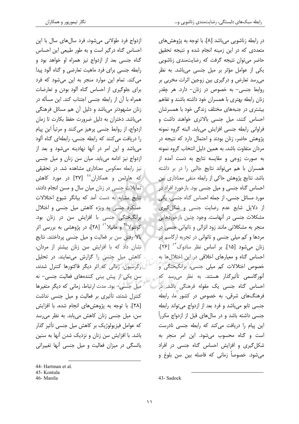ازدواج فرد طولانی میشود، فرد سالهای سال با این احساس گناه درگیر است و به طور طبیعی این احساس گناه جنسی بعد از ازدواج نیز همراه او خواهد بود و رابطه جنسی برای فرد ماهیت تعارضی و گناه آلود پیدا می کند. تمام این موارد منجر به این می شود که فرد برای جلوگیری از احساس گناه آلود بودن و تعارضات همراه با آن از رابطه جنسی اجتناب کند. این مسأله در زنان مشهودتر می باشد و دلیل آن هم مسائل فرهنگی می باشد. دختران به دلیل ضرورت حفظ بکارت تا زمان ازدواج، از روابط جنسی پرهیز می کنند و مرتباً این پیام را دریافت می کنند که رابطه جنسی، رابطهای گناه آلود می باشد و این امر در آنها نهادینه می شود و بعد از ازدواج نیز ادامه می یابد. میان سن زنان و میل جنسی نیز رابطه معکوس معناداری مشاهده شد. در تحقیقی که هارتمن و همکاران<sup>٤٤</sup> [۲۷] در مورد کاهش تمایلات جنسی در زنان میان سال و مسن انجام دادند، نتایج مشابه به دست آمد که بیانگر شیوع اختلالات عملکرد جنسی به ویژه کاهش میل جنسی و اختلال برانگیختگی جنسی با افزایش سن در زنان بود. کونتولا<sup>۴۵</sup> و مانیلا<sup>۶۰ </sup> [۲۸]، در پژوهشی به بررسی اثر بالا رفتن سن بر فعالیت و میل جنسی پرداختند. نتایج نشان داد که با افزایش سن زنان بیشتر از مردان، کاهش میل جنسی را گزارش مینمایند. در تحلیل رگرسیون، زمانی که اثر دیگر فاکتورها کنترل شدند، سن یکی از پیش بینی کنندههای فعالیت جنسی- نه میل جنسی – بود. مدت ارتباط، زمانی که دیگر متغیرها کنترل شدند، تأثیری بر فعالیت و میل جنسی نداشت [٢٨]. با توجه به پژوهش های انجام شده، با افزایش سن، میل جنسی زنان کاهش می یابد. به نظر می رسد که عوامل فیزیولوژیک بر کاهش میل جنسی تأثیر گذار باشد. با افزایش سن زنان و نزدیک شدن آنها به سنین یائسگی در میزان فعالیت و میل جنسی آنها تغییراتی

در رابطه زناشویی میباشد [۸]. با توجه به پژوهشهای متعددی که در این زمینه انجام شده و نتیجه تحقیق حاضر می توان نتیجه گرفت که رضایتمندی زناشویی یکی از عوامل مؤثر بر میل جنسی میباشد. به نظر میرسد تعارض و درگیری بین زوجین اثرات مخربی بر روابط جنسی- به خصوص در زنان- دارد. هر چقدر زنان رابطه بهتری با همسران خود داشته باشند و تفاهم بیشتری در جنبههای مختلف زندگی خود با همسرشان احساس کنند، میل جنسی بالاتری خواهند داشت و فراواني رابطه جنسي افزايش مي يابد. البته گروه نمونه پژوهش حاضر، زنان بودند و احتمال دارد که نتیجه در مردان متفاوت باشد، به همین دلیل انتخاب گروه نمونه به صورت زوجی و مقایسه نتایج به دست آمده از همسران با هم می تواند نتایج جالبی را در بر داشته باشد. نتایج پژوهش حاکی از رابطه منفی معناداری بین احساس گناه جنسی و میل جنسی بود. بازخورد افراد در مورد مسائل جنسی، از جمله احساس گناه جنسی، یکی از دلایل شایع عدم رضایت جنسی و شکل گیری مشکلات جنسی در آنهاست. وجود چنین بازخوردهایی منجر به مشکلاتی مانند زود انزالی و ناتوانی جنسی در مردها و کم میلی جنسی و ناتوانی در تجربه ارگاسم در زنان می شود [۱۵]. بر اساس نظر سادوک<sup>۶۴</sup> [۲۶]، احساس گناه و معیارهای اخلاقی در این اختلالها به خصوص اختلالات کم میلی جنسی، برانگیختگی و آنورگاسمی تأثیرگذار هستند. به نظر می رسد که ۔<br>احساس گناہ جنسی یک مقوله فرھنگی باشد. در فرهنگهای شرقی، به خصوص در کشور ما، رابطه جنسی تابو میباشد و فرد بعد از ازدواج میتواند رابطه جنسی داشته باشد و در سالهای قبل از ازدواج مکرراً این پیام را دریافت می کند که رابطه جنسی نادرست است و گناه محسوب میشود. این امر منجر به شکل گیری و افزایش احساس گناه جنسی در افراد مي شود. خصوصاً زماني كه فاصله بين سن بلوغ و

<sup>44-</sup> Hartman et al

<sup>45-</sup>Kontula

<sup>46-</sup>Manila

<sup>43-</sup>Sadock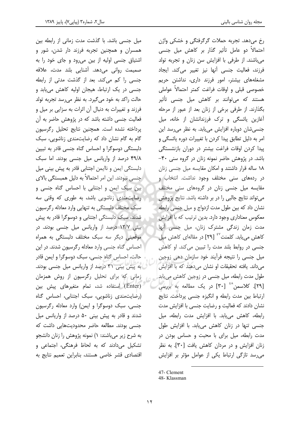میل جنسی باشد. با گذشت مدت زمانی از رابطه بین همسران و همچنین تجربه فرزند دار شدن، شور و اشتیاق جنسی اولیه از بین می رود و جای خود را به صميمت رواني مىدهد. آشنايي بلند مدت، علاقه جنسی را کم میکند. بعد از گذشت مدتی از رابطه جنسی در یک ارتباط، هیجان اولیه کاهش می یابد و حالت راکد به خود می گیرد. به نظر می رسد تجربه تولد فرزند و تغییرات به دنبال آن اثرات به سزایی بر میل و فعالیت جنسی داشته باشد که در پژوهش حاضر به آن پرداخته نشده است. همچنین نتایج تحلیل رگرسیون گام به گام نشان داد که رضایتمندی زناشویی، سبک دلبستگی دوسوگرا و احساس گناه جنسی قادر به تبیین ۴۹/۸ درصد از واریانس میل جنسی بودند. اما سبک دلبستگی ایمن و ناایمن اجتنابی قادر به پیش بینی میل جنسی نبودند. این امر احتمالاً به دلیل همبستگی بالای بین سبک ایمن و اجتنابی با احساس گناه جنسی و رضایت مندی زناشویی باشد، به طوری که وقتی سه سبک مختلف دلبستگی به تنهایی وارد معادله رگرسیون شدند، سبک دلبستگی اجتنابی و دوسوگرا قادر به پیش بینی ۱۲/۷ درصد از واریانس میل جنسی بودند. در .<br>موقعیتی دیگر سه سبک مختلف دلبستگی به همراه احساس گناه جنسی وارد معادله رگرسیون شدند. در این حالتِ، احساس گناه جنسی، سبک دوسوگرا و ایمن قادر ے به پیش بینی ۳۱ درصد از واریانس میل جنسی بودند. زمانی که برای تحلیل رگرسیون از روش همزمان (Enter) استفاده شد، تمام متغیرهای پیش بین (رضایتمندی زناشویی، سبک اجتنابی، احساس گناه جنسی، سبک دوسوگرا و ایمن) وارد معادله رگرسیون شدند و قادر به پیش بینی ۵۰ درصد از واریانس میل جنسی بودند. مطالعه حاضر محدودیتهایی داشت که به شرح زیر میباشند: ۱) نمونه پژوهش را زنان دانشجو تشکیل میدادند که به لحاظ فرهنگی، اجتماعی و اقتصادی قشر خاصی هستند، بنابراین تعمیم نتایج به

رخ میدهد. تجربه حملات گرگرفتگی و خشکی واژن احتمالاً دو عامل تأثیر گذار بر کاهش میل جنسی میباشند. از طرفی با افزایش سن زنان و تجربه تولد فرزند، فعالیت جنسی آنها نیز تغییر میکند. ایجاد مشغلههای بیشتر، امور فرزند داری، نداشتن حریم خصوصی قبلی و اوقات فراغت کمتر احتمالاً عواملی هستند که میتوانند بر کاهش میل جنسی تأثیر بگذارند. از طرفی برخی از زنان بعد از عبور از مرحله آغازین پائسگی و ترک فرزندانشان از خانه، میل جنسی شان دوباره افزایش می یابد. به نظر می رسد این امر به دلیل تطابق پیدا کردن با تغییرات دوره یائسگی و پیدا کردن اوقات فراغت بیشتر در دوران بازنشستگی باشد. در پژوهش حاضر نمونه زنان در گروه سنی ۴۰-١٨ ساله قرار داشتند و امكان مقايسه ميل جنسى زنان در ردههای سنی مختلف وجود نداشت. انتخاب و مقایسه میل جنسی زنان در گروههای سنی مختلف می تواند نتایج جالبی را در بر داشته باشد. نتایج پژوهش نشان داد که بین طول مدت ازدواج و میل جنسی رابطه معکوس معناداری وجود دارد. بدین ترتیب که با افزایش مدت زمان زندگی مشترک زنان، میل جنسی آنها کاهش می یابد. کلمنت<sup>٤٧</sup> [٢٩] در مقالهای کاهش میل جنسی در روابط بلند مدت را تبیین میکند. او کاهش میل جنسی را نتیجه فرآیند خود سازمان دهی زوجین می داند. یافته تحقیقات او نشان می دهند که با افزایش طول مدت رابطه، میل جنسی در زوجین کاهش می یابد [٢٩]. كلاسمن <sup>٤٨</sup> [٣٠] در يک مطالعه به بررسي ارتباط بین مدت رابطه و انگیزه جنسی پرداخت. نتایج نشان دادند که فعالیت و رضایت جنسی با افزایش مدت رابطه، كاهش مى يابد. با افزايش مدت رابطه، ميل جنسی تنها در زنان کاهش میبابد. با افزایش طول مدت رابطه، میل برای با محبت و حساس بودن در زنان افزایش و در مردان کاهش یافت [۳۰]. به نظر می رسد تازگی ارتباط یکی از عوامل مؤثر بر افزایش

<sup>47-</sup> Clement

<sup>48-</sup>Klassman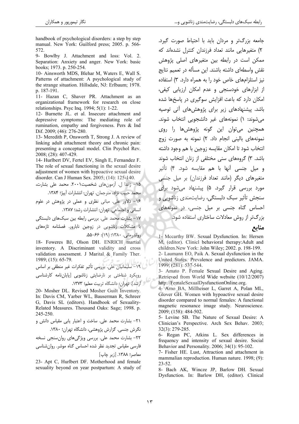handbook of psychological disorders: a step by step manual. New York: Guilford press; 2005. p. 566-572.

9- Bowlby J. Attachment and loss: Vol. 2. Separation: Anxiety and anger. New York: basic books; 1973. p. 250-254.

10- Ainsworth MDS, Blehar M, Waters E, Wall S. Patterns of attachment: A psychological study of the strange situation. Hillsdale, NJ: Erlbaum; 1978. p. 187-191.

11- Hazan C, Shaver PR. Attachment as an organizational framework for research on close relationships. Psyc Inq. 1994; 5(1): 1-22.

12- Burnette JL. et al. Insecure attachment and depressive symptoms: The mediating role of rumination, empathy and forgiveness. Pers & Ind Dif. 2009; (46): 276-280.

13- Meredith P. Onsworth T. Strong J. A review of linking adult attachment theory and chronic pain: presenting a conceptual model. Clin Psychol Rev. 2008; (28): 407-429.

14- Hurlbert DV, Fertel EV, Singh E, Fernandez F. The role of sexual functioning in the sexual desire adjustment of women with hypoactive sexual desire disorder. Can J Human Sex. 2005; (14): 125-140.

۰۱۵ ژاندا ل. آزمونهای شخصیت۲۰۰۱. محمد علی بشارت، محمد حبيب نژاد، مترجمان. تهران: انتشارات آييژ؛ ۱۳۸۴.

۱۶- دلاور علی. مبانی نظری و عملی در پژوهش در علوم

انسانی و اجتماعی. تهران: انتشارات رشد؛ ۱۳۸۷.

١٧- بشارت محمد على. بررسى رابطه بين سبكهاى دلبستگى با مشکلات زناشویی در زوجین نابارور. فصلنامه تازههای

رواندرمانی. ۱۳۸۰؛ (۱۹): ۶۶–۵۵.

18- Foweres BJ, Olson DH. ENRICH martial inventory. A Discriminant validity and cross validation assessment. J Marital & Family Ther.  $1989; (15): 65-79.$ 

١٩- سليمانيان على. بررسي تأثير تفكرات غير منطقى بر اساس .<br>رویکرد شناختی بر نارضایتی زناشویی [پایانiامه کارشناسی ارشد]. تهران: دانشگاه تربیت معلم؛ ١٣٧٣.

20- Mosher DL, Revised Mosher Guilt Inventory. In: Davis CM, Yarber WL, Bauserman R, Schreer G. Davis SL (editors). Handbook of Sexuality-Related Measures. Thousand Oaks: Sage; 1998. p. 245-250.

٢١- بشارت محمد على. ساخت و اعتبار يابي مقياس دانش و نگرش جنسی. گزارش پژوهشی، دانشگاه تهران؛ ۱۳۸۰. ٢٢- بشارت محمد علي. بررسي ويژگيهاي روان سنجي نسخه .<br>فارسی مقیاس تجدید نظر شده احساس گناه موشر. روانشناسی معاصر؛ ١٣٨٨. [زير جاب]

23- Apt C. Hurlbert DF. Motherhood and female sexuality beyond on year postpartum: A study of

جامعه بزرگتر و مردان باید با احتیاط صورت گیرد. ۲) متغیرهایی مانند تعداد فرزندان کنترل نشدهاند که ممکن است در رابطه بین متغیرهای اصلی پژوهش نقش واسطهای داشته باشند. این مسأله در تعمیم نتایج نیز استلزامهای خاص خود را به همراه دارد. ۳) استفاده از ابزارهای خودسنجی و عدم امکان ارزیابی کیفی، امکان دارد که باعث افزایش سوگیری در یاسخها شده باشد. پیشنهادهای زیر برای پژوهش های آتی توصیه مے,شوند: ۱) نمونەھای غیر دانشجویی انتخاب شوند. همچنین میتوان این گونه پژوهشها را روی نمونههای بالینی انجام داد. ۲) نمونه به صورت زوج انتخاب شود تا امكان مقايسه زوجين با هم وجود داشته باشد. ۳) گروههای سنی مختلفی از زنان انتخاب شوند و مبل جنسی آنها یا هم مقایسه شود. ۴) تأثیر متغیرهای دیگر (مانند تعداد فرزندان) بر میل جنسی مورد بررسی قرار گیرد. ۵) پیشنهاد میشود برای سنجش تأثیر سبک دلبستگی، رضایتمندی زناشویی و احساس گناه جنسی بر میل جنسی، در نمونههای بزرگتر از روش معادلات ساختاری استفاده شود. منابع

1- Mccarthy BW. Sexual Dysfunction. In: Hersen M, (editor). Clinicl behavioral therapy: Adult and children. New York: John Wiley; 2002. p. 198-199. 2- Laumann EO, Paik A. Sexual dysfunction in the United States. Prevalence and predictors. JAMA. 1999; (281): 537-544.

3- Amato P. Female Sexual Desire and Aging. Retrieved from World Wide website (10/12/2007) http://FemaleSexualDysfunctionOnline.org.

4- Arno BA, Millheiser L, Garret A, Polan ML, Glover GH. Women with hypoactive sexual desire disorder compared to normal females: A functional magnetic resonance image study. Neuroscience. 2009; (158): 484-502.

5- Levine SB. The Nature of Sexual Desire: A Clinician's Perspective. Arch Sex Behav. 2003; 32(3): 279-285.

6- Regan PC, Atkins L. Sex differences in frequency and intensity of sexual desire. Social Behavior and Personality. 2006; 34(1): 95-102.

7- Fisher HE. Lust, Attraction and attachment in mammalian reproduction. Human nature. 1998; (9):  $23 - 52$ .

8- Bach AK, Wincze JP, Barlow DH. Sexual Dysfunction. In: Barlow DH, (editor). Clinical